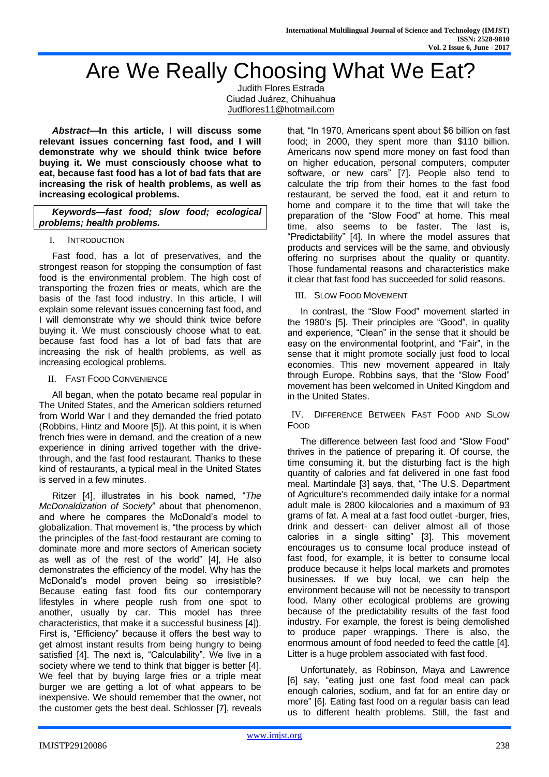# Are We Really Choosing What We Eat?

Judith Flores Estrada Ciudad Juárez, Chihuahua [Judflores11@hotmail.com](mailto:Judflores11@hotmail.com)

*Abstract***—In this article, I will discuss some relevant issues concerning fast food, and I will demonstrate why we should think twice before buying it. We must consciously choose what to eat, because fast food has a lot of bad fats that are increasing the risk of health problems, as well as increasing ecological problems.**

*Keywords—fast food; slow food; ecological problems; health problems.*

## I. INTRODUCTION

Fast food, has a lot of preservatives, and the strongest reason for stopping the consumption of fast food is the environmental problem. The high cost of transporting the frozen fries or meats, which are the basis of the fast food industry. In this article, I will explain some relevant issues concerning fast food, and I will demonstrate why we should think twice before buying it. We must consciously choose what to eat, because fast food has a lot of bad fats that are increasing the risk of health problems, as well as increasing ecological problems.

# II. FAST FOOD CONVENIENCE

All began, when the potato became real popular in The United States, and the American soldiers returned from World War I and they demanded the fried potato (Robbins, Hintz and Moore [5]). At this point, it is when french fries were in demand, and the creation of a new experience in dining arrived together with the drivethrough, and the fast food restaurant. Thanks to these kind of restaurants, a typical meal in the United States is served in a few minutes.

Ritzer [4], illustrates in his book named, "*The McDonaldization of Society*" about that phenomenon, and where he compares the McDonald's model to globalization. That movement is, "the process by which the principles of the fast-food restaurant are coming to dominate more and more sectors of American society as well as of the rest of the world" [4], He also demonstrates the efficiency of the model. Why has the McDonald's model proven being so irresistible? Because eating fast food fits our contemporary lifestyles in where people rush from one spot to another, usually by car. This model has three characteristics, that make it a successful business [4]). First is, "Efficiency" because it offers the best way to get almost instant results from being hungry to being satisfied [4]. The next is, "Calculability". We live in a society where we tend to think that bigger is better [4]. We feel that by buying large fries or a triple meat burger we are getting a lot of what appears to be inexpensive. We should remember that the owner, not the customer gets the best deal. Schlosser [7], reveals that, "In 1970, Americans spent about \$6 billion on fast food; in 2000, they spent more than \$110 billion. Americans now spend more money on fast food than on higher education, personal computers, computer software, or new cars" [7]. People also tend to calculate the trip from their homes to the fast food restaurant, be served the food, eat it and return to home and compare it to the time that will take the preparation of the "Slow Food" at home. This meal time, also seems to be faster. The last is, "Predictability" [4]. In where the model assures that products and services will be the same, and obviously offering no surprises about the quality or quantity. Those fundamental reasons and characteristics make it clear that fast food has succeeded for solid reasons.

# III. SLOW FOOD MOVEMENT

In contrast, the "Slow Food" movement started in the 1980's [5]. Their principles are "Good", in quality and experience, "Clean" in the sense that it should be easy on the environmental footprint, and "Fair", in the sense that it might promote socially just food to local economies. This new movement appeared in Italy through Europe. Robbins says, that the "Slow Food" movement has been welcomed in United Kingdom and in the United States.

IV. DIFFERENCE BETWEEN FAST FOOD AND SLOW FOOD

The difference between fast food and "Slow Food" thrives in the patience of preparing it. Of course, the time consuming it, but the disturbing fact is the high quantity of calories and fat delivered in one fast food meal. Martindale [3] says, that, "The U.S. Department of Agriculture's recommended daily intake for a normal adult male is 2800 kilocalories and a maximum of 93 grams of fat. A meal at a fast food outlet -burger, fries, drink and dessert- can deliver almost all of those calories in a single sitting" [3]. This movement encourages us to consume local produce instead of fast food, for example, it is better to consume local produce because it helps local markets and promotes businesses. If we buy local, we can help the environment because will not be necessity to transport food. Many other ecological problems are growing because of the predictability results of the fast food industry. For example, the forest is being demolished to produce paper wrappings. There is also, the enormous amount of food needed to feed the cattle [4]. Litter is a huge problem associated with fast food.

Unfortunately, as Robinson, Maya and Lawrence [6] say, "eating just one fast food meal can pack enough calories, sodium, and fat for an entire day or more" [6]. Eating fast food on a regular basis can lead us to different health problems. Still, the fast and